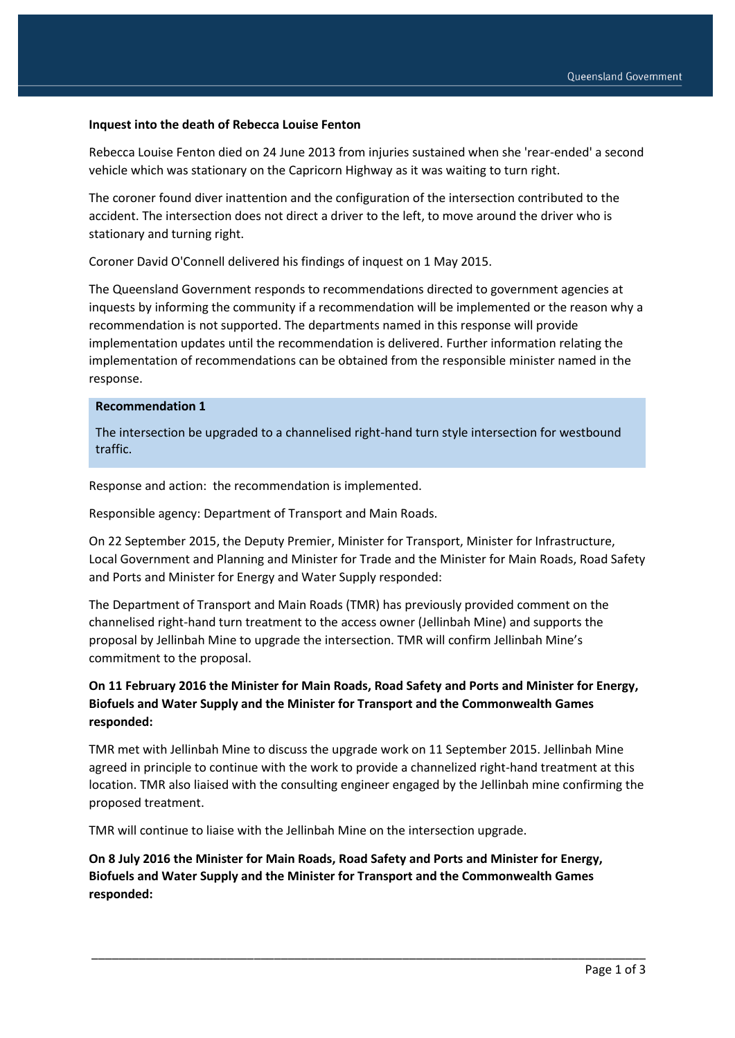#### **Inquest into the death of Rebecca Louise Fenton**

Rebecca Louise Fenton died on 24 June 2013 from injuries sustained when she 'rear-ended' a second vehicle which was stationary on the Capricorn Highway as it was waiting to turn right.

The coroner found diver inattention and the configuration of the intersection contributed to the accident. The intersection does not direct a driver to the left, to move around the driver who is stationary and turning right.

Coroner David O'Connell delivered his findings of inquest on 1 May 2015.

The Queensland Government responds to recommendations directed to government agencies at inquests by informing the community if a recommendation will be implemented or the reason why a recommendation is not supported. The departments named in this response will provide implementation updates until the recommendation is delivered. Further information relating the implementation of recommendations can be obtained from the responsible minister named in the response.

#### **Recommendation 1**

The intersection be upgraded to a channelised right-hand turn style intersection for westbound traffic.

Response and action: the recommendation is implemented.

Responsible agency: Department of Transport and Main Roads.

On 22 September 2015, the Deputy Premier, Minister for Transport, Minister for Infrastructure, Local Government and Planning and Minister for Trade and the Minister for Main Roads, Road Safety and Ports and Minister for Energy and Water Supply responded:

The Department of Transport and Main Roads (TMR) has previously provided comment on the channelised right-hand turn treatment to the access owner (Jellinbah Mine) and supports the proposal by Jellinbah Mine to upgrade the intersection. TMR will confirm Jellinbah Mine's commitment to the proposal.

## **On 11 February 2016 the Minister for Main Roads, Road Safety and Ports and Minister for Energy, Biofuels and Water Supply and the Minister for Transport and the Commonwealth Games responded:**

TMR met with Jellinbah Mine to discuss the upgrade work on 11 September 2015. Jellinbah Mine agreed in principle to continue with the work to provide a channelized right-hand treatment at this location. TMR also liaised with the consulting engineer engaged by the Jellinbah mine confirming the proposed treatment.

\_\_\_\_\_\_\_\_\_\_\_\_\_\_\_\_\_\_\_\_\_\_\_\_\_\_\_\_\_\_\_\_\_\_\_\_\_\_\_\_\_\_\_\_\_\_\_\_\_\_\_\_\_\_\_\_\_\_\_\_\_\_\_\_\_\_\_\_\_\_\_\_\_\_\_\_\_\_\_\_\_\_

TMR will continue to liaise with the Jellinbah Mine on the intersection upgrade.

**On 8 July 2016 the Minister for Main Roads, Road Safety and Ports and Minister for Energy, Biofuels and Water Supply and the Minister for Transport and the Commonwealth Games responded:**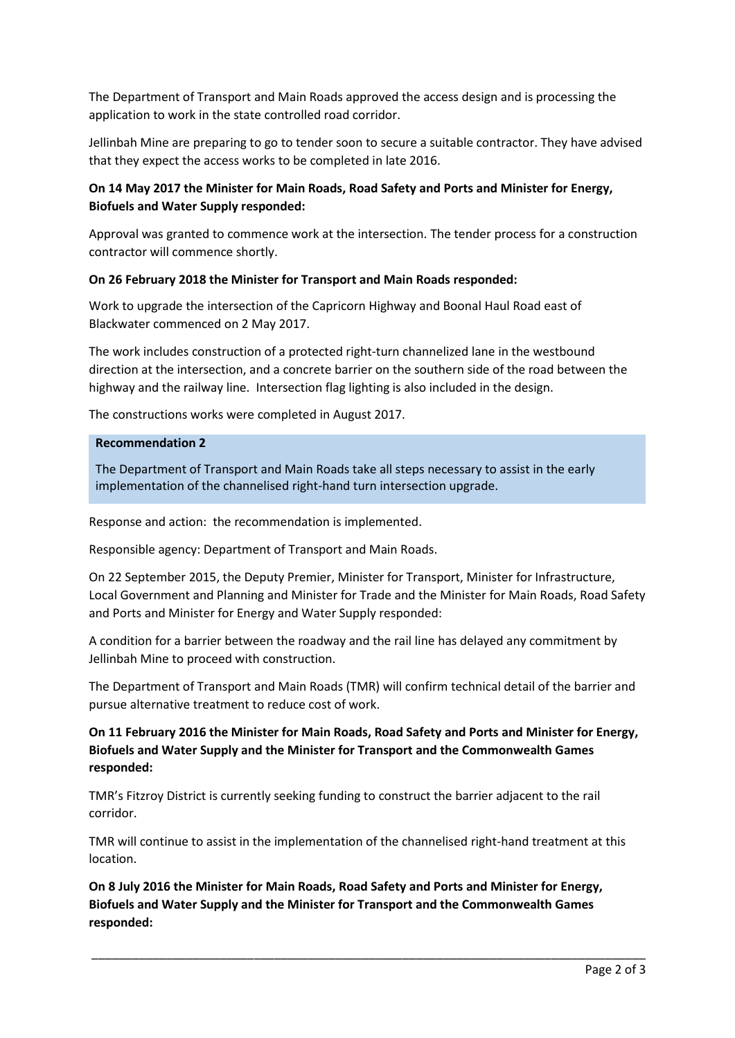The Department of Transport and Main Roads approved the access design and is processing the application to work in the state controlled road corridor.

Jellinbah Mine are preparing to go to tender soon to secure a suitable contractor. They have advised that they expect the access works to be completed in late 2016.

## **On 14 May 2017 the Minister for Main Roads, Road Safety and Ports and Minister for Energy, Biofuels and Water Supply responded:**

Approval was granted to commence work at the intersection. The tender process for a construction contractor will commence shortly.

### **On 26 February 2018 the Minister for Transport and Main Roads responded:**

Work to upgrade the intersection of the Capricorn Highway and Boonal Haul Road east of Blackwater commenced on 2 May 2017.

The work includes construction of a protected right-turn channelized lane in the westbound direction at the intersection, and a concrete barrier on the southern side of the road between the highway and the railway line. Intersection flag lighting is also included in the design.

The constructions works were completed in August 2017.

#### **Recommendation 2**

The Department of Transport and Main Roads take all steps necessary to assist in the early implementation of the channelised right-hand turn intersection upgrade.

Response and action: the recommendation is implemented.

Responsible agency: Department of Transport and Main Roads.

On 22 September 2015, the Deputy Premier, Minister for Transport, Minister for Infrastructure, Local Government and Planning and Minister for Trade and the Minister for Main Roads, Road Safety and Ports and Minister for Energy and Water Supply responded:

A condition for a barrier between the roadway and the rail line has delayed any commitment by Jellinbah Mine to proceed with construction.

The Department of Transport and Main Roads (TMR) will confirm technical detail of the barrier and pursue alternative treatment to reduce cost of work.

### **On 11 February 2016 the Minister for Main Roads, Road Safety and Ports and Minister for Energy, Biofuels and Water Supply and the Minister for Transport and the Commonwealth Games responded:**

TMR's Fitzroy District is currently seeking funding to construct the barrier adjacent to the rail corridor.

TMR will continue to assist in the implementation of the channelised right-hand treatment at this location.

\_\_\_\_\_\_\_\_\_\_\_\_\_\_\_\_\_\_\_\_\_\_\_\_\_\_\_\_\_\_\_\_\_\_\_\_\_\_\_\_\_\_\_\_\_\_\_\_\_\_\_\_\_\_\_\_\_\_\_\_\_\_\_\_\_\_\_\_\_\_\_\_\_\_\_\_\_\_\_\_\_\_

**On 8 July 2016 the Minister for Main Roads, Road Safety and Ports and Minister for Energy, Biofuels and Water Supply and the Minister for Transport and the Commonwealth Games responded:**